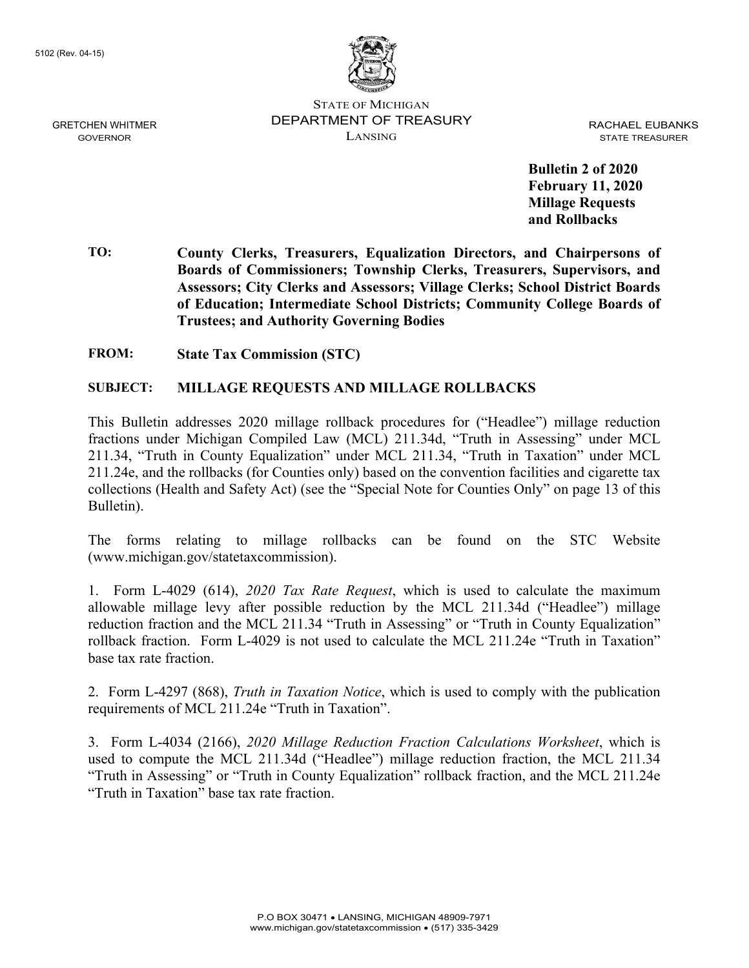

STATE OF MICHIGAN DEPARTMENT OF TREASURY LANSING

RACHAEL EUBANKS STATE TREASURER

**Bulletin 2 of 2020 February 11, 2020 Millage Requests and Rollbacks** 

**TO: County Clerks, Treasurers, Equalization Directors, and Chairpersons of Boards of Commissioners; Township Clerks, Treasurers, Supervisors, and Assessors; City Clerks and Assessors; Village Clerks; School District Boards of Education; Intermediate School Districts; Community College Boards of Trustees; and Authority Governing Bodies** 

**FROM: State Tax Commission (STC)** 

#### **SUBJECT: MILLAGE REQUESTS AND MILLAGE ROLLBACKS**

This Bulletin addresses 2020 millage rollback procedures for ("Headlee") millage reduction fractions under Michigan Compiled Law (MCL) 211.34d, "Truth in Assessing" under MCL 211.34, "Truth in County Equalization" under MCL 211.34, "Truth in Taxation" under MCL 211.24e, and the rollbacks (for Counties only) based on the convention facilities and cigarette tax collections (Health and Safety Act) (see the "Special Note for Counties Only" on page 13 of this Bulletin).

The forms relating to millage rollbacks can be found on the STC Website (www.michigan.gov/statetaxcommission).

1. Form L-4029 (614), *2020 Tax Rate Request*, which is used to calculate the maximum allowable millage levy after possible reduction by the MCL 211.34d ("Headlee") millage reduction fraction and the MCL 211.34 "Truth in Assessing" or "Truth in County Equalization" rollback fraction. Form L-4029 is not used to calculate the MCL 211.24e "Truth in Taxation" base tax rate fraction.

2. Form L-4297 (868), *Truth in Taxation Notice*, which is used to comply with the publication requirements of MCL 211.24e "Truth in Taxation".

3. Form L-4034 (2166), *2020 Millage Reduction Fraction Calculations Worksheet*, which is used to compute the MCL 211.34d ("Headlee") millage reduction fraction, the MCL 211.34 "Truth in Assessing" or "Truth in County Equalization" rollback fraction, and the MCL 211.24e "Truth in Taxation" base tax rate fraction.

GRETCHEN WHITMER GOVERNOR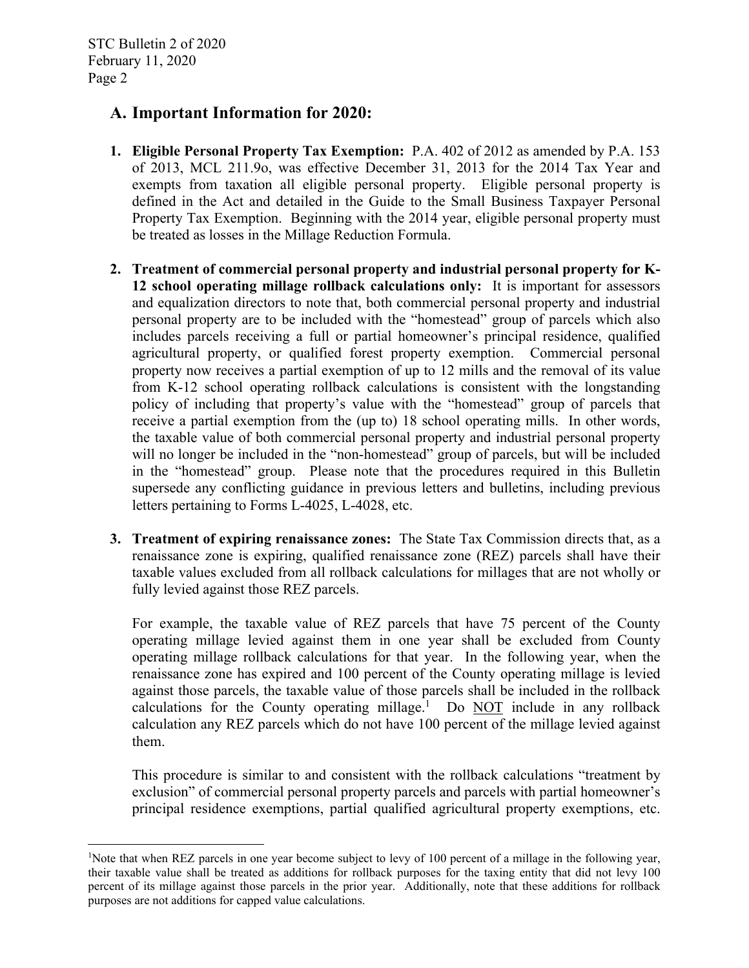### **A. Important Information for 2020:**

- **1. Eligible Personal Property Tax Exemption:** P.A. 402 of 2012 as amended by P.A. 153 of 2013, MCL 211.9o, was effective December 31, 2013 for the 2014 Tax Year and exempts from taxation all eligible personal property. Eligible personal property is defined in the Act and detailed in the Guide to the Small Business Taxpayer Personal Property Tax Exemption. Beginning with the 2014 year, eligible personal property must be treated as losses in the Millage Reduction Formula.
- **2. Treatment of commercial personal property and industrial personal property for K-12 school operating millage rollback calculations only:** It is important for assessors and equalization directors to note that, both commercial personal property and industrial personal property are to be included with the "homestead" group of parcels which also includes parcels receiving a full or partial homeowner's principal residence, qualified agricultural property, or qualified forest property exemption. Commercial personal property now receives a partial exemption of up to 12 mills and the removal of its value from K-12 school operating rollback calculations is consistent with the longstanding policy of including that property's value with the "homestead" group of parcels that receive a partial exemption from the (up to) 18 school operating mills. In other words, the taxable value of both commercial personal property and industrial personal property will no longer be included in the "non-homestead" group of parcels, but will be included in the "homestead" group. Please note that the procedures required in this Bulletin supersede any conflicting guidance in previous letters and bulletins, including previous letters pertaining to Forms L-4025, L-4028, etc.
- **3. Treatment of expiring renaissance zones:** The State Tax Commission directs that, as a renaissance zone is expiring, qualified renaissance zone (REZ) parcels shall have their taxable values excluded from all rollback calculations for millages that are not wholly or fully levied against those REZ parcels.

For example, the taxable value of REZ parcels that have 75 percent of the County operating millage levied against them in one year shall be excluded from County operating millage rollback calculations for that year. In the following year, when the renaissance zone has expired and 100 percent of the County operating millage is levied against those parcels, the taxable value of those parcels shall be included in the rollback calculations for the County operating millage.<sup>1</sup> Do  $\overline{NOT}$  include in any rollback calculation any REZ parcels which do not have 100 percent of the millage levied against them.

This procedure is similar to and consistent with the rollback calculations "treatment by exclusion" of commercial personal property parcels and parcels with partial homeowner's principal residence exemptions, partial qualified agricultural property exemptions, etc.

<sup>&</sup>lt;sup>1</sup>Note that when REZ parcels in one year become subject to levy of 100 percent of a millage in the following year, their taxable value shall be treated as additions for rollback purposes for the taxing entity that did not levy 100 percent of its millage against those parcels in the prior year. Additionally, note that these additions for rollback purposes are not additions for capped value calculations.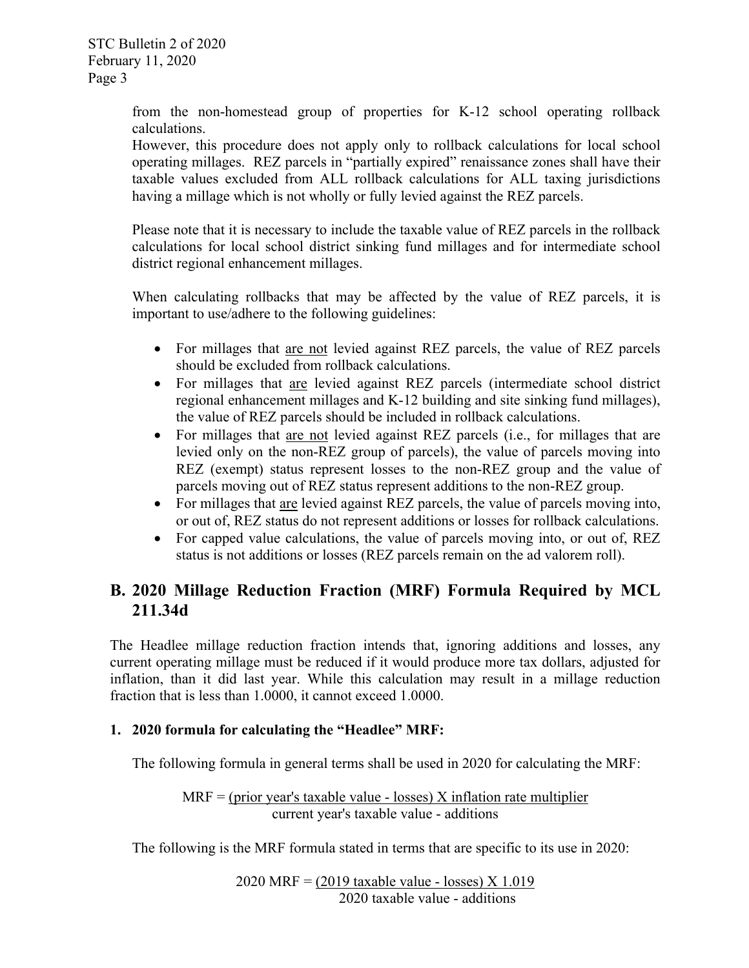from the non-homestead group of properties for K-12 school operating rollback calculations.

However, this procedure does not apply only to rollback calculations for local school operating millages. REZ parcels in "partially expired" renaissance zones shall have their taxable values excluded from ALL rollback calculations for ALL taxing jurisdictions having a millage which is not wholly or fully levied against the REZ parcels.

Please note that it is necessary to include the taxable value of REZ parcels in the rollback calculations for local school district sinking fund millages and for intermediate school district regional enhancement millages.

When calculating rollbacks that may be affected by the value of REZ parcels, it is important to use/adhere to the following guidelines:

- For millages that are not levied against REZ parcels, the value of REZ parcels should be excluded from rollback calculations.
- For millages that are levied against REZ parcels (intermediate school district regional enhancement millages and K-12 building and site sinking fund millages), the value of REZ parcels should be included in rollback calculations.
- For millages that are not levied against REZ parcels (i.e., for millages that are levied only on the non-REZ group of parcels), the value of parcels moving into REZ (exempt) status represent losses to the non-REZ group and the value of parcels moving out of REZ status represent additions to the non-REZ group.
- For millages that are levied against REZ parcels, the value of parcels moving into, or out of, REZ status do not represent additions or losses for rollback calculations.
- For capped value calculations, the value of parcels moving into, or out of, REZ status is not additions or losses (REZ parcels remain on the ad valorem roll).

# **B. 2020 Millage Reduction Fraction (MRF) Formula Required by MCL 211.34d**

The Headlee millage reduction fraction intends that, ignoring additions and losses, any current operating millage must be reduced if it would produce more tax dollars, adjusted for inflation, than it did last year. While this calculation may result in a millage reduction fraction that is less than 1.0000, it cannot exceed 1.0000.

### **1. 2020 formula for calculating the "Headlee" MRF:**

The following formula in general terms shall be used in 2020 for calculating the MRF:

$$
MRF = (prior year's taxable value - losses) X inflation rate multiplier
$$
  
current year's taxable value - additions

The following is the MRF formula stated in terms that are specific to its use in 2020:

2020 MRF = (2019 taxable value - losses) X 1.019 2020 taxable value - additions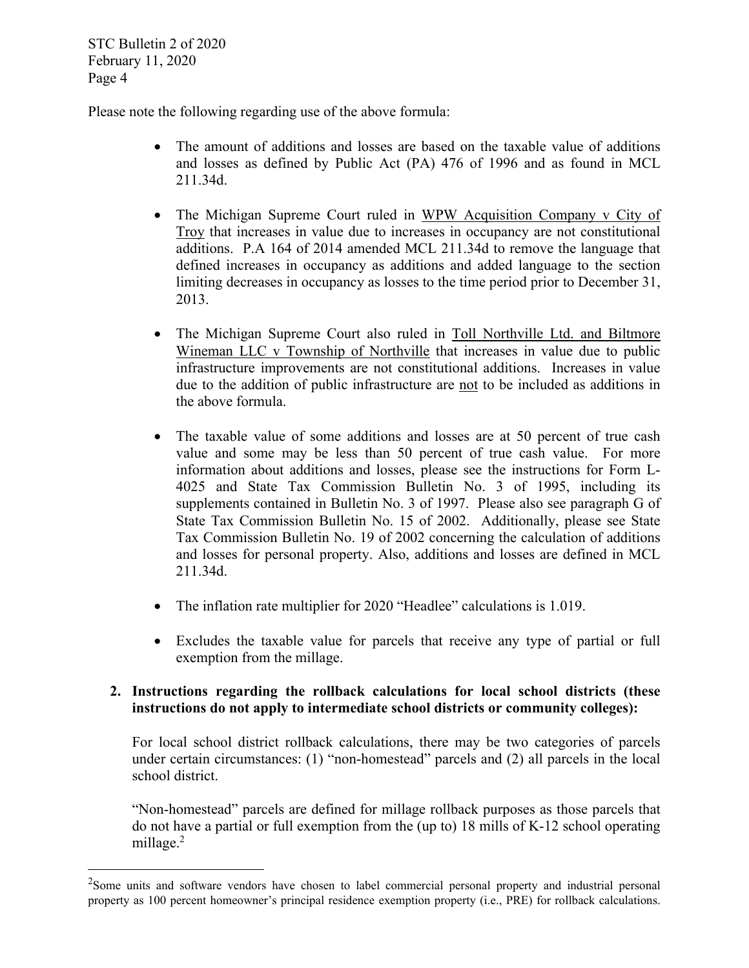STC Bulletin 2 of 2020 February 11, 2020 Page 4

Please note the following regarding use of the above formula:

- The amount of additions and losses are based on the taxable value of additions and losses as defined by Public Act (PA) 476 of 1996 and as found in MCL 211.34d.
- The Michigan Supreme Court ruled in WPW Acquisition Company v City of Troy that increases in value due to increases in occupancy are not constitutional additions. P.A 164 of 2014 amended MCL 211.34d to remove the language that defined increases in occupancy as additions and added language to the section limiting decreases in occupancy as losses to the time period prior to December 31, 2013.
- The Michigan Supreme Court also ruled in Toll Northville Ltd. and Biltmore Wineman LLC v Township of Northville that increases in value due to public infrastructure improvements are not constitutional additions. Increases in value due to the addition of public infrastructure are not to be included as additions in the above formula.
- The taxable value of some additions and losses are at 50 percent of true cash value and some may be less than 50 percent of true cash value. For more information about additions and losses, please see the instructions for Form L-4025 and State Tax Commission Bulletin No. 3 of 1995, including its supplements contained in Bulletin No. 3 of 1997. Please also see paragraph G of State Tax Commission Bulletin No. 15 of 2002. Additionally, please see State Tax Commission Bulletin No. 19 of 2002 concerning the calculation of additions and losses for personal property. Also, additions and losses are defined in MCL 211.34d.
- The inflation rate multiplier for 2020 "Headlee" calculations is 1.019.
- Excludes the taxable value for parcels that receive any type of partial or full exemption from the millage.

#### **2. Instructions regarding the rollback calculations for local school districts (these instructions do not apply to intermediate school districts or community colleges):**

For local school district rollback calculations, there may be two categories of parcels under certain circumstances: (1) "non-homestead" parcels and (2) all parcels in the local school district.

"Non-homestead" parcels are defined for millage rollback purposes as those parcels that do not have a partial or full exemption from the (up to) 18 mills of K-12 school operating millage.<sup>2</sup>

 $2$ Some units and software vendors have chosen to label commercial personal property and industrial personal property as 100 percent homeowner's principal residence exemption property (i.e., PRE) for rollback calculations.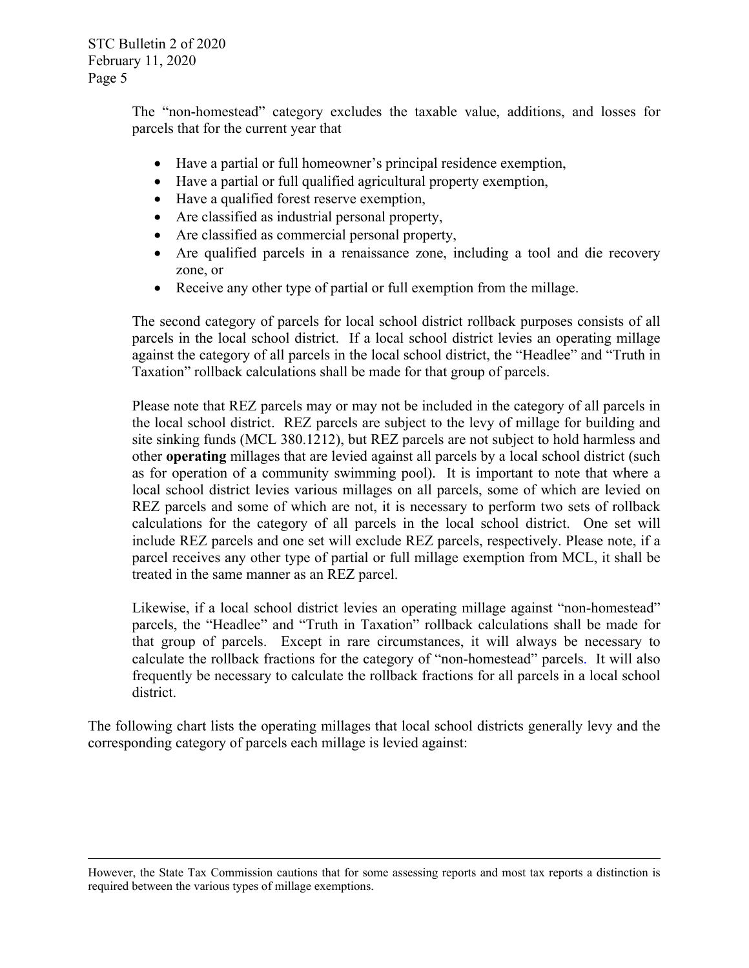STC Bulletin 2 of 2020 February 11, 2020 Page 5

> The "non-homestead" category excludes the taxable value, additions, and losses for parcels that for the current year that

- Have a partial or full homeowner's principal residence exemption,
- Have a partial or full qualified agricultural property exemption,
- Have a qualified forest reserve exemption,
- Are classified as industrial personal property,
- Are classified as commercial personal property,
- Are qualified parcels in a renaissance zone, including a tool and die recovery zone, or
- Receive any other type of partial or full exemption from the millage.

The second category of parcels for local school district rollback purposes consists of all parcels in the local school district. If a local school district levies an operating millage against the category of all parcels in the local school district, the "Headlee" and "Truth in Taxation" rollback calculations shall be made for that group of parcels.

Please note that REZ parcels may or may not be included in the category of all parcels in the local school district. REZ parcels are subject to the levy of millage for building and site sinking funds (MCL 380.1212), but REZ parcels are not subject to hold harmless and other **operating** millages that are levied against all parcels by a local school district (such as for operation of a community swimming pool). It is important to note that where a local school district levies various millages on all parcels, some of which are levied on REZ parcels and some of which are not, it is necessary to perform two sets of rollback calculations for the category of all parcels in the local school district. One set will include REZ parcels and one set will exclude REZ parcels, respectively. Please note, if a parcel receives any other type of partial or full millage exemption from MCL, it shall be treated in the same manner as an REZ parcel.

Likewise, if a local school district levies an operating millage against "non-homestead" parcels, the "Headlee" and "Truth in Taxation" rollback calculations shall be made for that group of parcels. Except in rare circumstances, it will always be necessary to calculate the rollback fractions for the category of "non-homestead" parcels. It will also frequently be necessary to calculate the rollback fractions for all parcels in a local school district.

The following chart lists the operating millages that local school districts generally levy and the corresponding category of parcels each millage is levied against:

However, the State Tax Commission cautions that for some assessing reports and most tax reports a distinction is required between the various types of millage exemptions.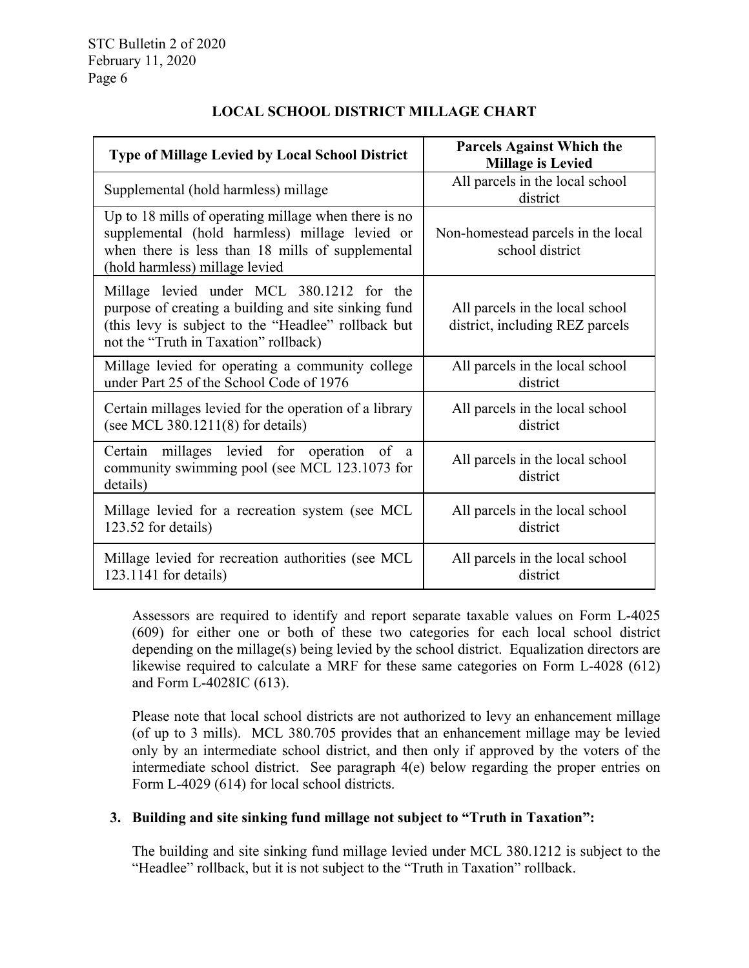| <b>Type of Millage Levied by Local School District</b>                                                                                                                                            | <b>Parcels Against Which the</b><br><b>Millage is Levied</b>       |
|---------------------------------------------------------------------------------------------------------------------------------------------------------------------------------------------------|--------------------------------------------------------------------|
| Supplemental (hold harmless) millage                                                                                                                                                              | All parcels in the local school<br>district                        |
| Up to 18 mills of operating millage when there is no<br>supplemental (hold harmless) millage levied or<br>when there is less than 18 mills of supplemental<br>(hold harmless) millage levied      | Non-homestead parcels in the local<br>school district              |
| Millage levied under MCL 380.1212 for the<br>purpose of creating a building and site sinking fund<br>(this levy is subject to the "Headlee" rollback but<br>not the "Truth in Taxation" rollback) | All parcels in the local school<br>district, including REZ parcels |
| Millage levied for operating a community college<br>under Part 25 of the School Code of 1976                                                                                                      | All parcels in the local school<br>district                        |
| Certain millages levied for the operation of a library<br>(see MCL 380.1211(8) for details)                                                                                                       | All parcels in the local school<br>district                        |
| Certain millages levied for operation of<br>a<br>community swimming pool (see MCL 123.1073 for<br>details)                                                                                        | All parcels in the local school<br>district                        |
| Millage levied for a recreation system (see MCL<br>123.52 for details)                                                                                                                            | All parcels in the local school<br>district                        |
| Millage levied for recreation authorities (see MCL<br>$123.1141$ for details)                                                                                                                     | All parcels in the local school<br>district                        |

### **LOCAL SCHOOL DISTRICT MILLAGE CHART**

Assessors are required to identify and report separate taxable values on Form L-4025 (609) for either one or both of these two categories for each local school district depending on the millage(s) being levied by the school district. Equalization directors are likewise required to calculate a MRF for these same categories on Form L-4028 (612) and Form L-4028IC (613).

Please note that local school districts are not authorized to levy an enhancement millage (of up to 3 mills). MCL 380.705 provides that an enhancement millage may be levied only by an intermediate school district, and then only if approved by the voters of the intermediate school district. See paragraph 4(e) below regarding the proper entries on Form L-4029 (614) for local school districts.

#### **3. Building and site sinking fund millage not subject to "Truth in Taxation":**

The building and site sinking fund millage levied under MCL 380.1212 is subject to the "Headlee" rollback, but it is not subject to the "Truth in Taxation" rollback.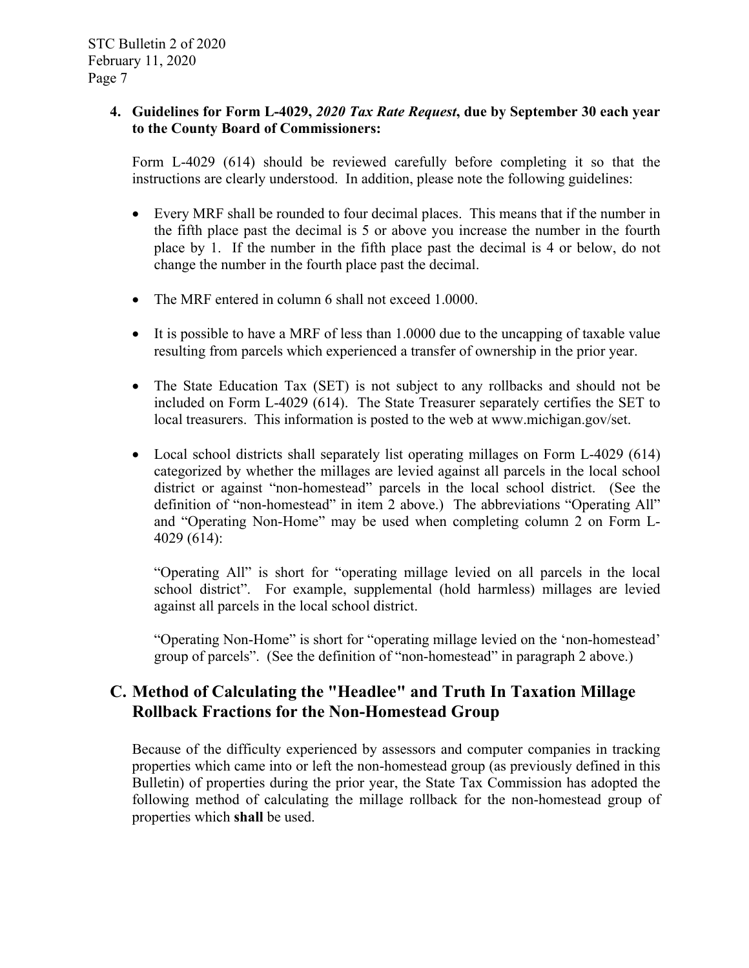#### **4. Guidelines for Form L-4029,** *2020 Tax Rate Request***, due by September 30 each year to the County Board of Commissioners:**

Form L-4029 (614) should be reviewed carefully before completing it so that the instructions are clearly understood. In addition, please note the following guidelines:

- Every MRF shall be rounded to four decimal places. This means that if the number in the fifth place past the decimal is 5 or above you increase the number in the fourth place by 1. If the number in the fifth place past the decimal is 4 or below, do not change the number in the fourth place past the decimal.
- The MRF entered in column 6 shall not exceed 1.0000.
- It is possible to have a MRF of less than 1.0000 due to the uncapping of taxable value resulting from parcels which experienced a transfer of ownership in the prior year.
- The State Education Tax (SET) is not subject to any rollbacks and should not be included on Form L-4029 (614). The State Treasurer separately certifies the SET to local treasurers. This information is posted to the web at www.michigan.gov/set.
- Local school districts shall separately list operating millages on Form L-4029 (614) categorized by whether the millages are levied against all parcels in the local school district or against "non-homestead" parcels in the local school district. (See the definition of "non-homestead" in item 2 above.) The abbreviations "Operating All" and "Operating Non-Home" may be used when completing column 2 on Form L-4029 (614):

"Operating All" is short for "operating millage levied on all parcels in the local school district". For example, supplemental (hold harmless) millages are levied against all parcels in the local school district.

"Operating Non-Home" is short for "operating millage levied on the 'non-homestead' group of parcels". (See the definition of "non-homestead" in paragraph 2 above.)

## **C. Method of Calculating the "Headlee" and Truth In Taxation Millage Rollback Fractions for the Non-Homestead Group**

Because of the difficulty experienced by assessors and computer companies in tracking properties which came into or left the non-homestead group (as previously defined in this Bulletin) of properties during the prior year, the State Tax Commission has adopted the following method of calculating the millage rollback for the non-homestead group of properties which **shall** be used.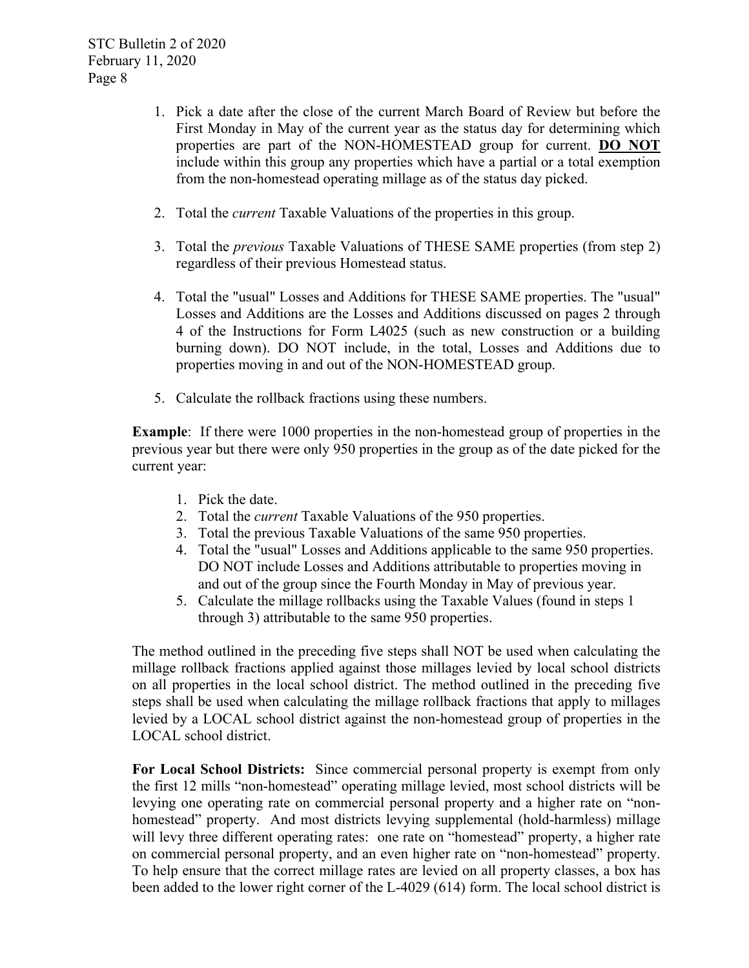- 1. Pick a date after the close of the current March Board of Review but before the First Monday in May of the current year as the status day for determining which properties are part of the NON-HOMESTEAD group for current. **DO NOT** include within this group any properties which have a partial or a total exemption from the non-homestead operating millage as of the status day picked.
- 2. Total the *current* Taxable Valuations of the properties in this group.
- 3. Total the *previous* Taxable Valuations of THESE SAME properties (from step 2) regardless of their previous Homestead status.
- 4. Total the "usual" Losses and Additions for THESE SAME properties. The "usual" Losses and Additions are the Losses and Additions discussed on pages 2 through 4 of the Instructions for Form L4025 (such as new construction or a building burning down). DO NOT include, in the total, Losses and Additions due to properties moving in and out of the NON-HOMESTEAD group.
- 5. Calculate the rollback fractions using these numbers.

**Example**: If there were 1000 properties in the non-homestead group of properties in the previous year but there were only 950 properties in the group as of the date picked for the current year:

- 1. Pick the date.
- 2. Total the *current* Taxable Valuations of the 950 properties.
- 3. Total the previous Taxable Valuations of the same 950 properties.
- 4. Total the "usual" Losses and Additions applicable to the same 950 properties. DO NOT include Losses and Additions attributable to properties moving in and out of the group since the Fourth Monday in May of previous year.
- 5. Calculate the millage rollbacks using the Taxable Values (found in steps 1 through 3) attributable to the same 950 properties.

The method outlined in the preceding five steps shall NOT be used when calculating the millage rollback fractions applied against those millages levied by local school districts on all properties in the local school district. The method outlined in the preceding five steps shall be used when calculating the millage rollback fractions that apply to millages levied by a LOCAL school district against the non-homestead group of properties in the LOCAL school district.

**For Local School Districts:** Since commercial personal property is exempt from only the first 12 mills "non-homestead" operating millage levied, most school districts will be levying one operating rate on commercial personal property and a higher rate on "nonhomestead" property. And most districts levying supplemental (hold-harmless) millage will levy three different operating rates: one rate on "homestead" property, a higher rate on commercial personal property, and an even higher rate on "non-homestead" property. To help ensure that the correct millage rates are levied on all property classes, a box has been added to the lower right corner of the L-4029 (614) form. The local school district is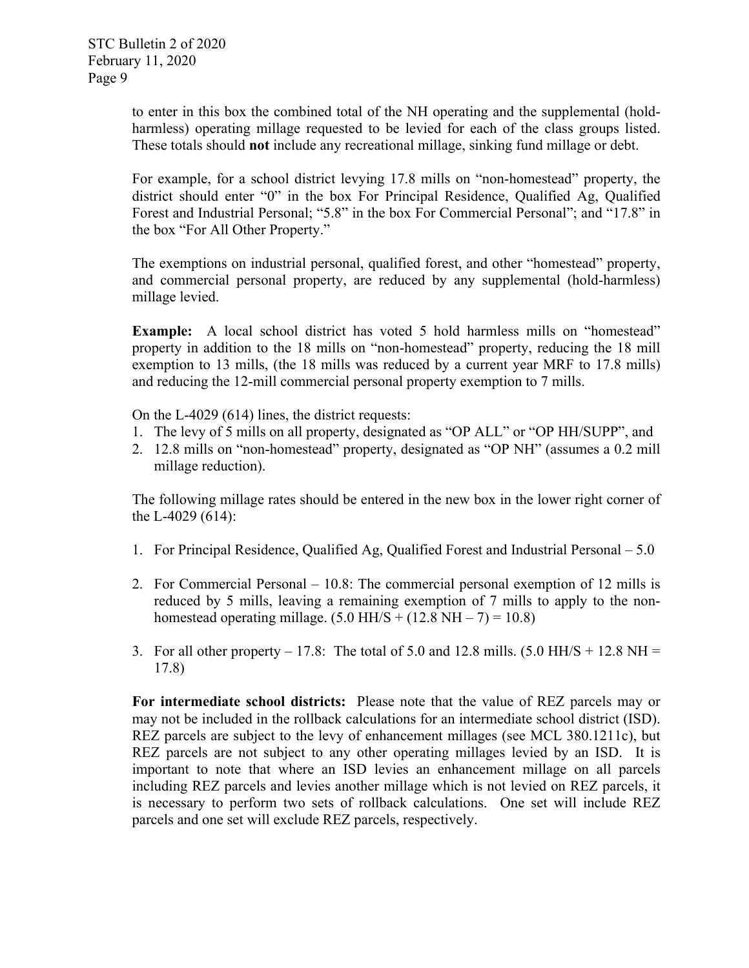to enter in this box the combined total of the NH operating and the supplemental (holdharmless) operating millage requested to be levied for each of the class groups listed. These totals should **not** include any recreational millage, sinking fund millage or debt.

For example, for a school district levying 17.8 mills on "non-homestead" property, the district should enter "0" in the box For Principal Residence, Qualified Ag, Qualified Forest and Industrial Personal; "5.8" in the box For Commercial Personal"; and "17.8" in the box "For All Other Property."

The exemptions on industrial personal, qualified forest, and other "homestead" property, and commercial personal property, are reduced by any supplemental (hold-harmless) millage levied.

**Example:** A local school district has voted 5 hold harmless mills on "homestead" property in addition to the 18 mills on "non-homestead" property, reducing the 18 mill exemption to 13 mills, (the 18 mills was reduced by a current year MRF to 17.8 mills) and reducing the 12-mill commercial personal property exemption to 7 mills.

On the L-4029 (614) lines, the district requests:

- 1. The levy of 5 mills on all property, designated as "OP ALL" or "OP HH/SUPP", and
- 2. 12.8 mills on "non-homestead" property, designated as "OP NH" (assumes a 0.2 mill millage reduction).

The following millage rates should be entered in the new box in the lower right corner of the L-4029 (614):

- 1. For Principal Residence, Qualified Ag, Qualified Forest and Industrial Personal 5.0
- 2. For Commercial Personal 10.8: The commercial personal exemption of 12 mills is reduced by 5 mills, leaving a remaining exemption of 7 mills to apply to the nonhomestead operating millage.  $(5.0$  HH/S +  $(12.8$  NH  $- 7) = 10.8$ )
- 3. For all other property  $-17.8$ : The total of 5.0 and 12.8 mills. (5.0 HH/S + 12.8 NH = 17.8)

**For intermediate school districts:** Please note that the value of REZ parcels may or may not be included in the rollback calculations for an intermediate school district (ISD). REZ parcels are subject to the levy of enhancement millages (see MCL 380.1211c), but REZ parcels are not subject to any other operating millages levied by an ISD. It is important to note that where an ISD levies an enhancement millage on all parcels including REZ parcels and levies another millage which is not levied on REZ parcels, it is necessary to perform two sets of rollback calculations. One set will include REZ parcels and one set will exclude REZ parcels, respectively.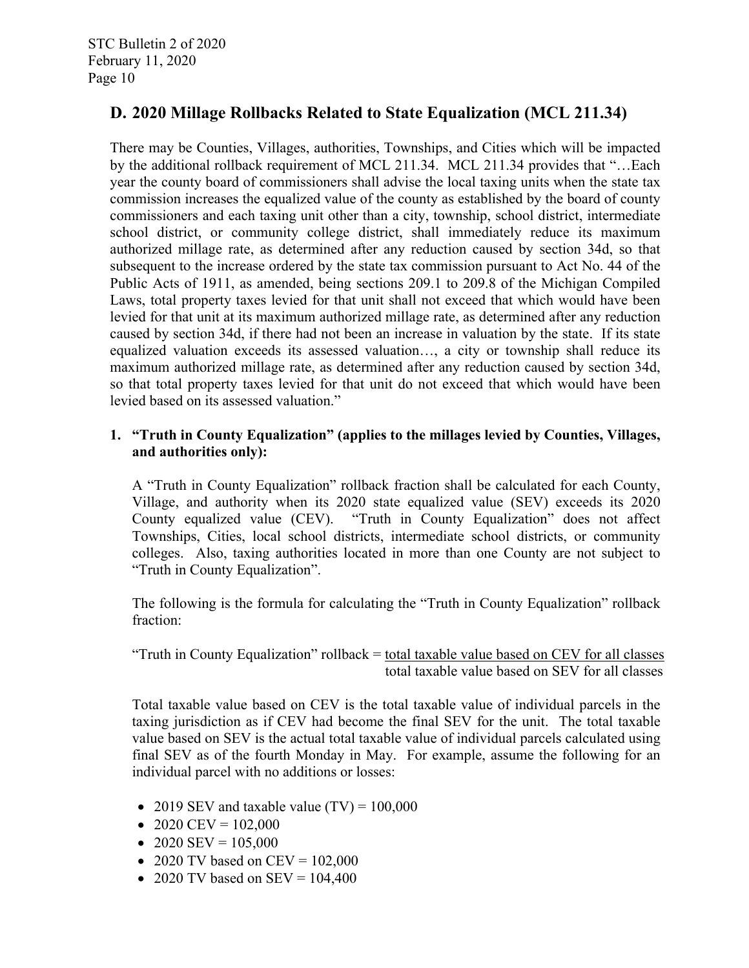## **D. 2020 Millage Rollbacks Related to State Equalization (MCL 211.34)**

There may be Counties, Villages, authorities, Townships, and Cities which will be impacted by the additional rollback requirement of MCL 211.34. MCL 211.34 provides that "…Each year the county board of commissioners shall advise the local taxing units when the state tax commission increases the equalized value of the county as established by the board of county commissioners and each taxing unit other than a city, township, school district, intermediate school district, or community college district, shall immediately reduce its maximum authorized millage rate, as determined after any reduction caused by section 34d, so that subsequent to the increase ordered by the state tax commission pursuant to Act No. 44 of the Public Acts of 1911, as amended, being sections 209.1 to 209.8 of the Michigan Compiled Laws, total property taxes levied for that unit shall not exceed that which would have been levied for that unit at its maximum authorized millage rate, as determined after any reduction caused by section 34d, if there had not been an increase in valuation by the state. If its state equalized valuation exceeds its assessed valuation…, a city or township shall reduce its maximum authorized millage rate, as determined after any reduction caused by section 34d, so that total property taxes levied for that unit do not exceed that which would have been levied based on its assessed valuation."

#### **1. "Truth in County Equalization" (applies to the millages levied by Counties, Villages, and authorities only):**

A "Truth in County Equalization" rollback fraction shall be calculated for each County, Village, and authority when its 2020 state equalized value (SEV) exceeds its 2020 County equalized value (CEV). "Truth in County Equalization" does not affect Townships, Cities, local school districts, intermediate school districts, or community colleges. Also, taxing authorities located in more than one County are not subject to "Truth in County Equalization".

The following is the formula for calculating the "Truth in County Equalization" rollback fraction:

"Truth in County Equalization" rollback = total taxable value based on CEV for all classes total taxable value based on SEV for all classes

Total taxable value based on CEV is the total taxable value of individual parcels in the taxing jurisdiction as if CEV had become the final SEV for the unit. The total taxable value based on SEV is the actual total taxable value of individual parcels calculated using final SEV as of the fourth Monday in May. For example, assume the following for an individual parcel with no additions or losses:

- 2019 SEV and taxable value  $(TV) = 100,000$
- 2020 CEV =  $102,000$
- 2020 SEV =  $105,000$
- 2020 TV based on CEV =  $102,000$
- 2020 TV based on  $SEV = 104,400$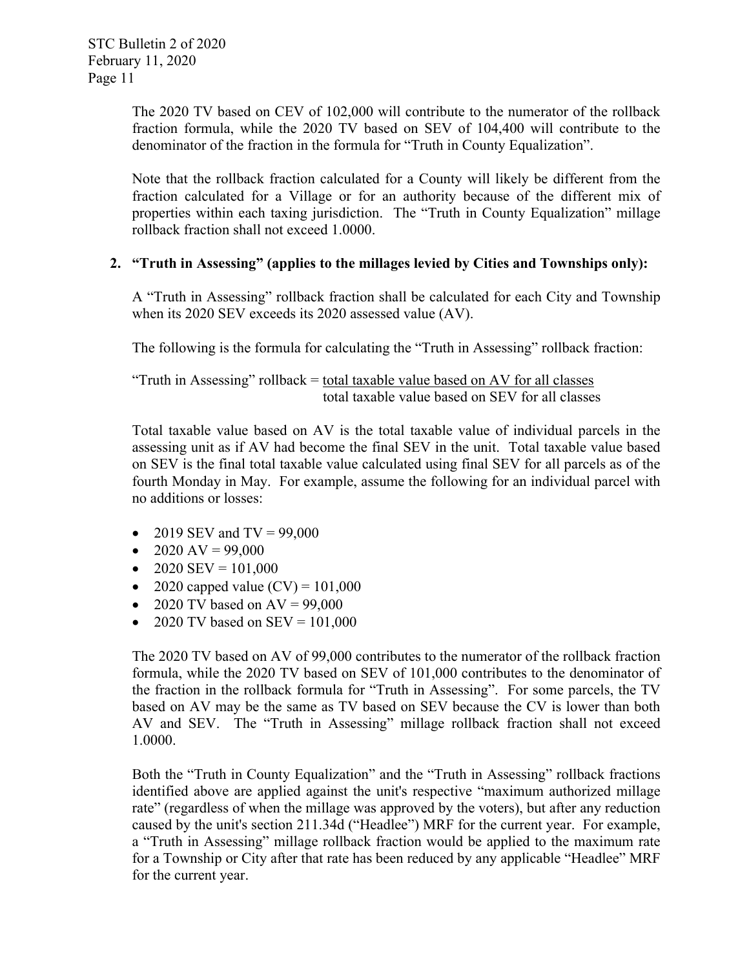The 2020 TV based on CEV of 102,000 will contribute to the numerator of the rollback fraction formula, while the 2020 TV based on SEV of 104,400 will contribute to the denominator of the fraction in the formula for "Truth in County Equalization".

Note that the rollback fraction calculated for a County will likely be different from the fraction calculated for a Village or for an authority because of the different mix of properties within each taxing jurisdiction. The "Truth in County Equalization" millage rollback fraction shall not exceed 1.0000.

#### **2. "Truth in Assessing" (applies to the millages levied by Cities and Townships only):**

A "Truth in Assessing" rollback fraction shall be calculated for each City and Township when its 2020 SEV exceeds its 2020 assessed value (AV).

The following is the formula for calculating the "Truth in Assessing" rollback fraction:

"Truth in Assessing" rollback = total taxable value based on AV for all classes total taxable value based on SEV for all classes

Total taxable value based on AV is the total taxable value of individual parcels in the assessing unit as if AV had become the final SEV in the unit. Total taxable value based on SEV is the final total taxable value calculated using final SEV for all parcels as of the fourth Monday in May. For example, assume the following for an individual parcel with no additions or losses:

- 2019 SEV and  $TV = 99,000$
- $\bullet$  2020 AV = 99,000
- $\bullet$  2020 SEV = 101,000
- 2020 capped value  $(CV) = 101,000$
- 2020 TV based on  $AV = 99,000$
- 2020 TV based on  $SEV = 101,000$

The 2020 TV based on AV of 99,000 contributes to the numerator of the rollback fraction formula, while the 2020 TV based on SEV of 101,000 contributes to the denominator of the fraction in the rollback formula for "Truth in Assessing". For some parcels, the TV based on AV may be the same as TV based on SEV because the CV is lower than both AV and SEV. The "Truth in Assessing" millage rollback fraction shall not exceed 1.0000.

Both the "Truth in County Equalization" and the "Truth in Assessing" rollback fractions identified above are applied against the unit's respective "maximum authorized millage rate" (regardless of when the millage was approved by the voters), but after any reduction caused by the unit's section 211.34d ("Headlee") MRF for the current year. For example, a "Truth in Assessing" millage rollback fraction would be applied to the maximum rate for a Township or City after that rate has been reduced by any applicable "Headlee" MRF for the current year.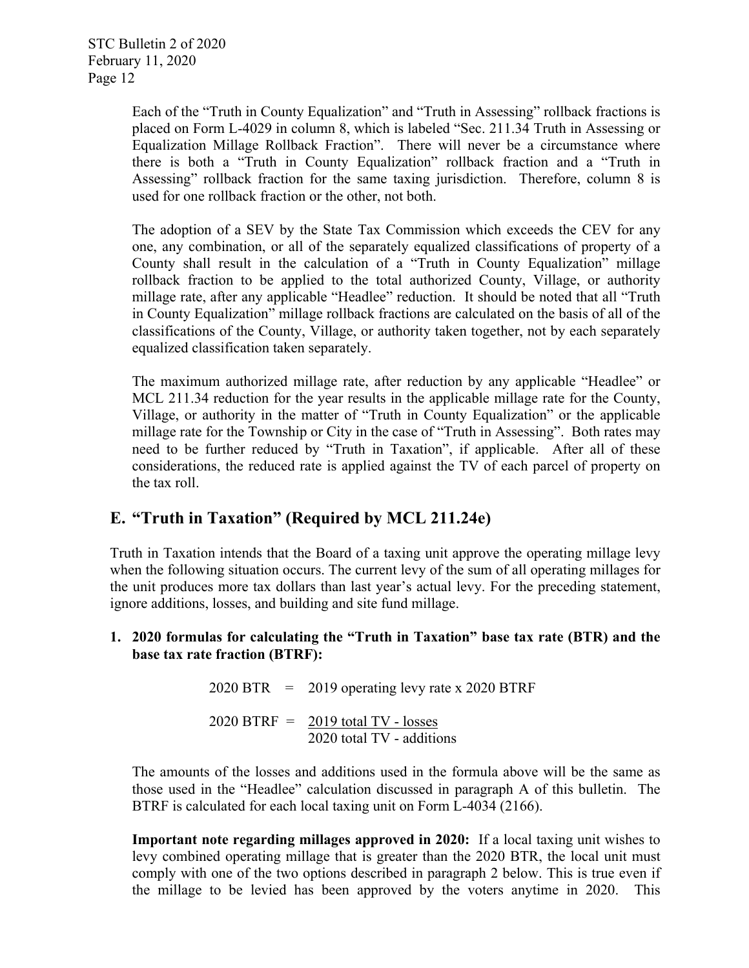Each of the "Truth in County Equalization" and "Truth in Assessing" rollback fractions is placed on Form L-4029 in column 8, which is labeled "Sec. 211.34 Truth in Assessing or Equalization Millage Rollback Fraction". There will never be a circumstance where there is both a "Truth in County Equalization" rollback fraction and a "Truth in Assessing" rollback fraction for the same taxing jurisdiction. Therefore, column 8 is used for one rollback fraction or the other, not both.

The adoption of a SEV by the State Tax Commission which exceeds the CEV for any one, any combination, or all of the separately equalized classifications of property of a County shall result in the calculation of a "Truth in County Equalization" millage rollback fraction to be applied to the total authorized County, Village, or authority millage rate, after any applicable "Headlee" reduction. It should be noted that all "Truth in County Equalization" millage rollback fractions are calculated on the basis of all of the classifications of the County, Village, or authority taken together, not by each separately equalized classification taken separately.

The maximum authorized millage rate, after reduction by any applicable "Headlee" or MCL 211.34 reduction for the year results in the applicable millage rate for the County, Village, or authority in the matter of "Truth in County Equalization" or the applicable millage rate for the Township or City in the case of "Truth in Assessing". Both rates may need to be further reduced by "Truth in Taxation", if applicable. After all of these considerations, the reduced rate is applied against the TV of each parcel of property on the tax roll.

## **E. "Truth in Taxation" (Required by MCL 211.24e)**

Truth in Taxation intends that the Board of a taxing unit approve the operating millage levy when the following situation occurs. The current levy of the sum of all operating millages for the unit produces more tax dollars than last year's actual levy. For the preceding statement, ignore additions, losses, and building and site fund millage.

#### **1. 2020 formulas for calculating the "Truth in Taxation" base tax rate (BTR) and the base tax rate fraction (BTRF):**

|  | $2020$ BTR = 2019 operating levy rate x 2020 BTRF                   |
|--|---------------------------------------------------------------------|
|  | $2020$ BTRF = $2019$ total TV - losses<br>2020 total TV - additions |

The amounts of the losses and additions used in the formula above will be the same as those used in the "Headlee" calculation discussed in paragraph A of this bulletin. The BTRF is calculated for each local taxing unit on Form L-4034 (2166).

**Important note regarding millages approved in 2020:** If a local taxing unit wishes to levy combined operating millage that is greater than the 2020 BTR, the local unit must comply with one of the two options described in paragraph 2 below. This is true even if the millage to be levied has been approved by the voters anytime in 2020. This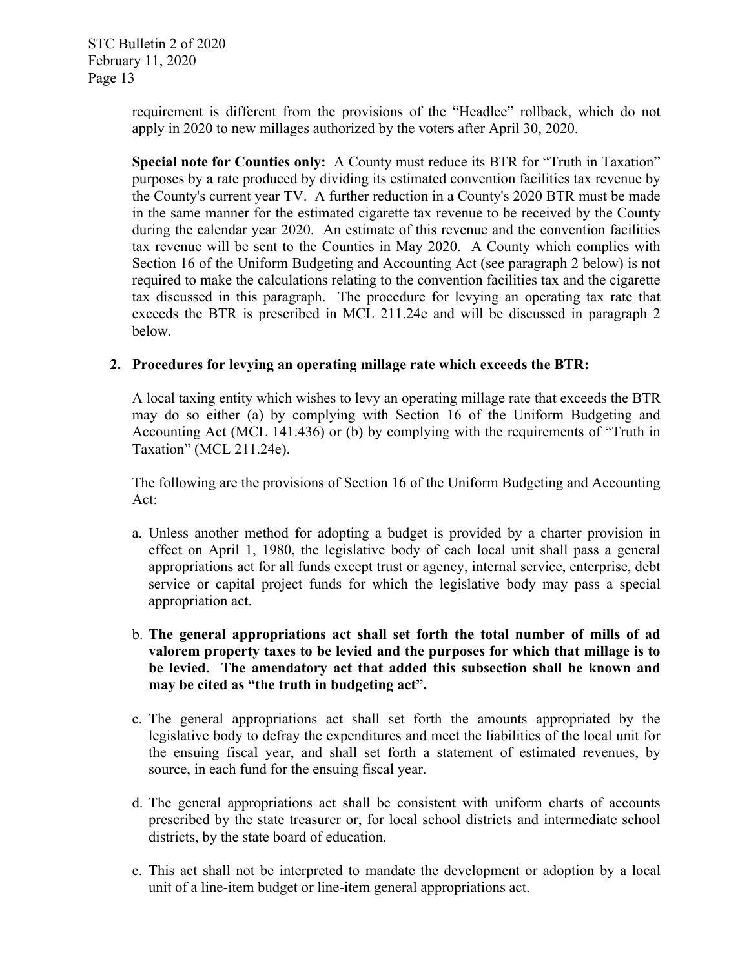requirement is different from the provisions of the "Headlee" rollback, which do not apply in 2020 to new millages authorized by the voters after April 30, 2020.

**Special note for Counties only:** A County must reduce its BTR for "Truth in Taxation" purposes by a rate produced by dividing its estimated convention facilities tax revenue by the County's current year TV. A further reduction in a County's 2020 BTR must be made in the same manner for the estimated cigarette tax revenue to be received by the County during the calendar year 2020. An estimate of this revenue and the convention facilities tax revenue will be sent to the Counties in May 2020. A County which complies with Section 16 of the Uniform Budgeting and Accounting Act (see paragraph 2 below) is not required to make the calculations relating to the convention facilities tax and the cigarette tax discussed in this paragraph. The procedure for levying an operating tax rate that exceeds the BTR is prescribed in MCL 211.24e and will be discussed in paragraph 2 below.

#### **2. Procedures for levying an operating millage rate which exceeds the BTR:**

A local taxing entity which wishes to levy an operating millage rate that exceeds the BTR may do so either (a) by complying with Section 16 of the Uniform Budgeting and Accounting Act (MCL 141.436) or (b) by complying with the requirements of "Truth in Taxation" (MCL 211.24e).

The following are the provisions of Section 16 of the Uniform Budgeting and Accounting Act:

- a. Unless another method for adopting a budget is provided by a charter provision in effect on April 1, 1980, the legislative body of each local unit shall pass a general appropriations act for all funds except trust or agency, internal service, enterprise, debt service or capital project funds for which the legislative body may pass a special appropriation act.
- b. **The general appropriations act shall set forth the total number of mills of ad valorem property taxes to be levied and the purposes for which that millage is to be levied. The amendatory act that added this subsection shall be known and may be cited as "the truth in budgeting act".**
- c. The general appropriations act shall set forth the amounts appropriated by the legislative body to defray the expenditures and meet the liabilities of the local unit for the ensuing fiscal year, and shall set forth a statement of estimated revenues, by source, in each fund for the ensuing fiscal year.
- d. The general appropriations act shall be consistent with uniform charts of accounts prescribed by the state treasurer or, for local school districts and intermediate school districts, by the state board of education.
- e. This act shall not be interpreted to mandate the development or adoption by a local unit of a line-item budget or line-item general appropriations act.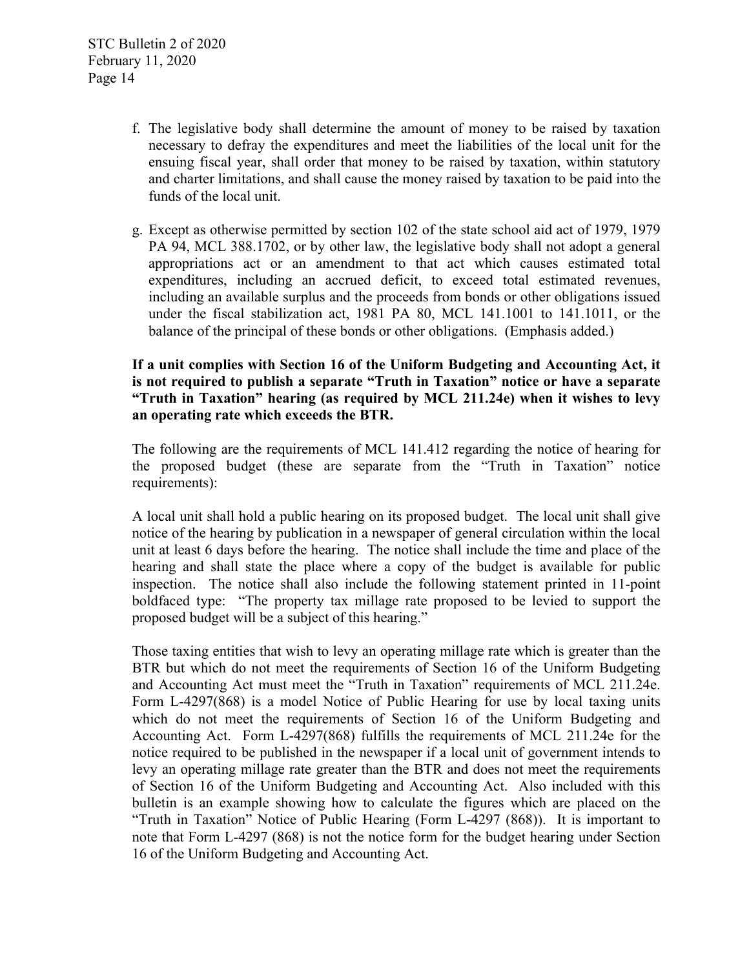- f. The legislative body shall determine the amount of money to be raised by taxation necessary to defray the expenditures and meet the liabilities of the local unit for the ensuing fiscal year, shall order that money to be raised by taxation, within statutory and charter limitations, and shall cause the money raised by taxation to be paid into the funds of the local unit.
- g. Except as otherwise permitted by section 102 of the state school aid act of 1979, 1979 PA 94, MCL 388.1702, or by other law, the legislative body shall not adopt a general appropriations act or an amendment to that act which causes estimated total expenditures, including an accrued deficit, to exceed total estimated revenues, including an available surplus and the proceeds from bonds or other obligations issued under the fiscal stabilization act, 1981 PA 80, MCL 141.1001 to 141.1011, or the balance of the principal of these bonds or other obligations. (Emphasis added.)

**If a unit complies with Section 16 of the Uniform Budgeting and Accounting Act, it is not required to publish a separate "Truth in Taxation" notice or have a separate "Truth in Taxation" hearing (as required by MCL 211.24e) when it wishes to levy an operating rate which exceeds the BTR.** 

The following are the requirements of MCL 141.412 regarding the notice of hearing for the proposed budget (these are separate from the "Truth in Taxation" notice requirements):

A local unit shall hold a public hearing on its proposed budget. The local unit shall give notice of the hearing by publication in a newspaper of general circulation within the local unit at least 6 days before the hearing. The notice shall include the time and place of the hearing and shall state the place where a copy of the budget is available for public inspection. The notice shall also include the following statement printed in 11-point boldfaced type: "The property tax millage rate proposed to be levied to support the proposed budget will be a subject of this hearing."

Those taxing entities that wish to levy an operating millage rate which is greater than the BTR but which do not meet the requirements of Section 16 of the Uniform Budgeting and Accounting Act must meet the "Truth in Taxation" requirements of MCL 211.24e. Form L-4297(868) is a model Notice of Public Hearing for use by local taxing units which do not meet the requirements of Section 16 of the Uniform Budgeting and Accounting Act. Form L-4297(868) fulfills the requirements of MCL 211.24e for the notice required to be published in the newspaper if a local unit of government intends to levy an operating millage rate greater than the BTR and does not meet the requirements of Section 16 of the Uniform Budgeting and Accounting Act. Also included with this bulletin is an example showing how to calculate the figures which are placed on the "Truth in Taxation" Notice of Public Hearing (Form L-4297 (868)). It is important to note that Form L-4297 (868) is not the notice form for the budget hearing under Section 16 of the Uniform Budgeting and Accounting Act.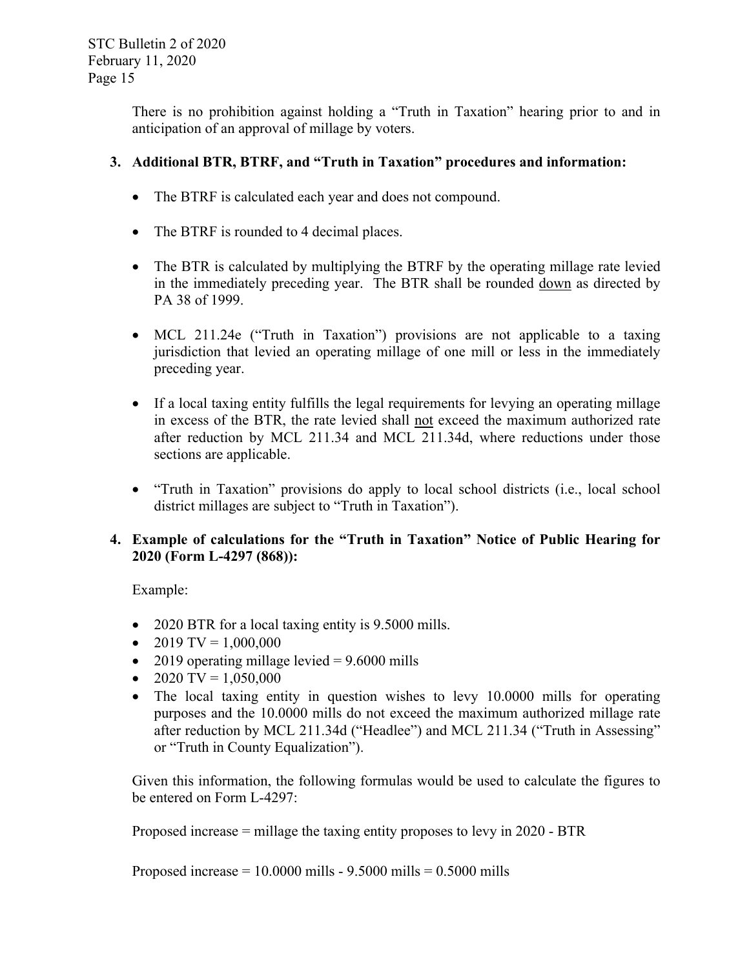There is no prohibition against holding a "Truth in Taxation" hearing prior to and in anticipation of an approval of millage by voters.

### **3. Additional BTR, BTRF, and "Truth in Taxation" procedures and information:**

- The BTRF is calculated each year and does not compound.
- The BTRF is rounded to 4 decimal places.
- The BTR is calculated by multiplying the BTRF by the operating millage rate levied in the immediately preceding year. The BTR shall be rounded down as directed by PA 38 of 1999.
- MCL 211.24e ("Truth in Taxation") provisions are not applicable to a taxing jurisdiction that levied an operating millage of one mill or less in the immediately preceding year.
- If a local taxing entity fulfills the legal requirements for levying an operating millage in excess of the BTR, the rate levied shall not exceed the maximum authorized rate after reduction by MCL 211.34 and MCL 211.34d, where reductions under those sections are applicable.
- "Truth in Taxation" provisions do apply to local school districts (i.e., local school district millages are subject to "Truth in Taxation").

#### **4. Example of calculations for the "Truth in Taxation" Notice of Public Hearing for 2020 (Form L-4297 (868)):**

Example:

- 2020 BTR for a local taxing entity is 9.5000 mills.
- $\bullet$  2019 TV = 1,000,000
- 2019 operating millage levied  $= 9.6000$  mills
- 2020 TV =  $1,050,000$
- The local taxing entity in question wishes to levy 10.0000 mills for operating purposes and the 10.0000 mills do not exceed the maximum authorized millage rate after reduction by MCL 211.34d ("Headlee") and MCL 211.34 ("Truth in Assessing" or "Truth in County Equalization").

Given this information, the following formulas would be used to calculate the figures to be entered on Form L-4297:

Proposed increase = millage the taxing entity proposes to levy in 2020 - BTR

Proposed increase =  $10.0000$  mills -  $9.5000$  mills =  $0.5000$  mills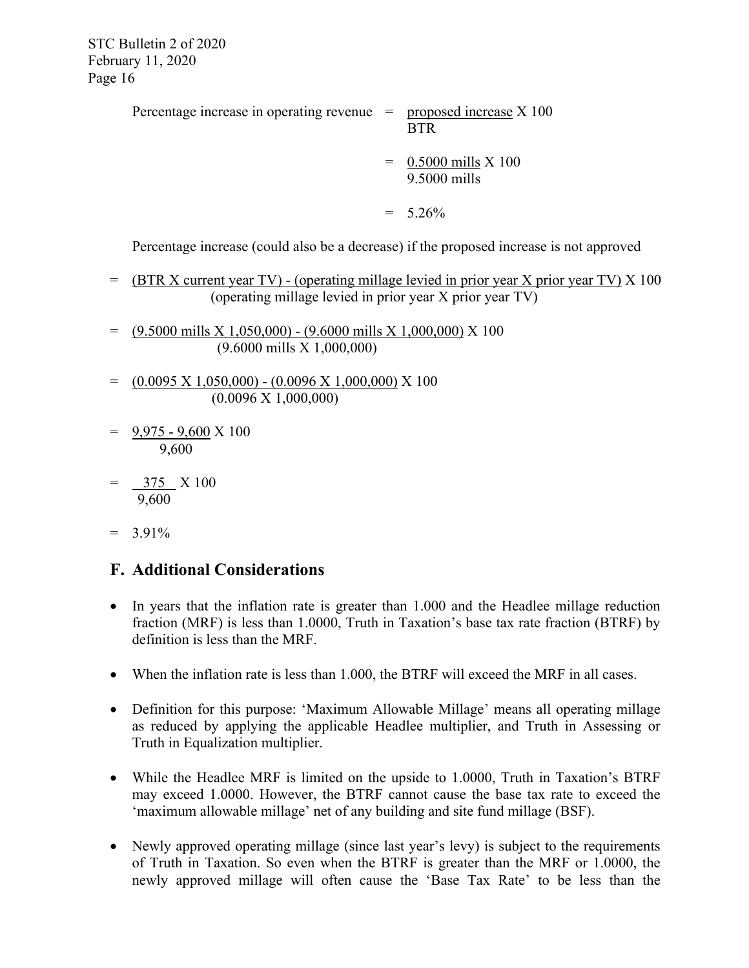Percentage increase in operating revenue  $=$  proposed increase X 100 BTR

> = 0.5000 mills X 100 9.5000 mills

 $= 5.26\%$ 

Percentage increase (could also be a decrease) if the proposed increase is not approved

- = (BTR X current year TV) (operating millage levied in prior year X prior year TV) X 100 (operating millage levied in prior year X prior year TV)
- $=$  (9.5000 mills X 1,050,000) (9.6000 mills X 1,000,000) X 100 (9.6000 mills X 1,000,000)
- $= (0.0095 \text{ X } 1,050,000) (0.0096 \text{ X } 1,000,000) \text{ X } 100$ (0.0096 X 1,000,000)
- = 9,975 9,600 X 100 9,600
- 375 X 100 9,600
- $= 3.91\%$

## **F. Additional Considerations**

- In years that the inflation rate is greater than 1.000 and the Headlee millage reduction fraction (MRF) is less than 1.0000, Truth in Taxation's base tax rate fraction (BTRF) by definition is less than the MRF.
- When the inflation rate is less than 1.000, the BTRF will exceed the MRF in all cases.
- Definition for this purpose: 'Maximum Allowable Millage' means all operating millage as reduced by applying the applicable Headlee multiplier, and Truth in Assessing or Truth in Equalization multiplier.
- While the Headlee MRF is limited on the upside to 1.0000, Truth in Taxation's BTRF may exceed 1.0000. However, the BTRF cannot cause the base tax rate to exceed the 'maximum allowable millage' net of any building and site fund millage (BSF).
- Newly approved operating millage (since last year's levy) is subject to the requirements of Truth in Taxation. So even when the BTRF is greater than the MRF or 1.0000, the newly approved millage will often cause the 'Base Tax Rate' to be less than the